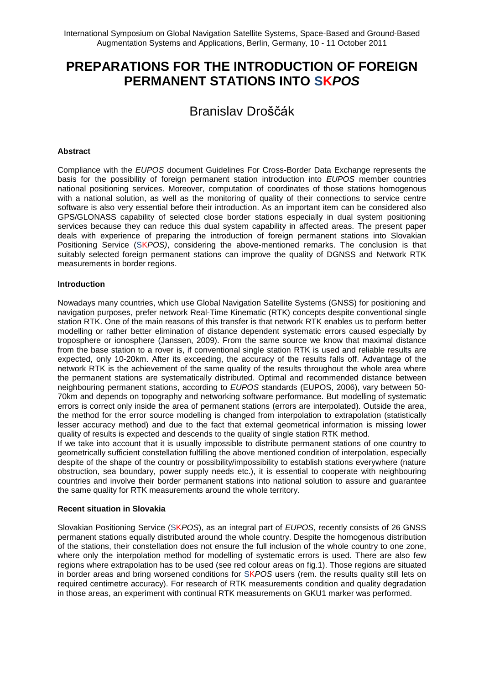# **PREPARATIONS FOR THE INTRODUCTION OF FOREIGN PERMANENT STATIONS INTO SK***POS*

# Branislav Droščák

## **Abstract**

Compliance with the *EUPOS* document Guidelines For Cross-Border Data Exchange represents the basis for the possibility of foreign permanent station introduction into *EUPOS* member countries national positioning services. Moreover, computation of coordinates of those stations homogenous with a national solution, as well as the monitoring of quality of their connections to service centre software is also very essential before their introduction. As an important item can be considered also GPS/GLONASS capability of selected close border stations especially in dual system positioning services because they can reduce this dual system capability in affected areas. The present paper deals with experience of preparing the introduction of foreign permanent stations into Slovakian Positioning Service (SK*POS)*, considering the above-mentioned remarks. The conclusion is that suitably selected foreign permanent stations can improve the quality of DGNSS and Network RTK measurements in border regions.

#### **Introduction**

Nowadays many countries, which use Global Navigation Satellite Systems (GNSS) for positioning and navigation purposes, prefer network Real-Time Kinematic (RTK) concepts despite conventional single station RTK. One of the main reasons of this transfer is that network RTK enables us to perform better modelling or rather better elimination of distance dependent systematic errors caused especially by troposphere or ionosphere (Janssen, 2009). From the same source we know that maximal distance from the base station to a rover is, if conventional single station RTK is used and reliable results are expected, only 10-20km. After its exceeding, the accuracy of the results falls off. Advantage of the network RTK is the achievement of the same quality of the results throughout the whole area where the permanent stations are systematically distributed. Optimal and recommended distance between neighbouring permanent stations, according to *EUPOS* standards (EUPOS, 2006), vary between 50- 70km and depends on topography and networking software performance. But modelling of systematic errors is correct only inside the area of permanent stations (errors are interpolated). Outside the area, the method for the error source modelling is changed from interpolation to extrapolation (statistically lesser accuracy method) and due to the fact that external geometrical information is missing lower quality of results is expected and descends to the quality of single station RTK method.

If we take into account that it is usually impossible to distribute permanent stations of one country to geometrically sufficient constellation fulfilling the above mentioned condition of interpolation, especially despite of the shape of the country or possibility/impossibility to establish stations everywhere (nature obstruction, sea boundary, power supply needs etc.), it is essential to cooperate with neighbouring countries and involve their border permanent stations into national solution to assure and guarantee the same quality for RTK measurements around the whole territory.

#### **Recent situation in Slovakia**

Slovakian Positioning Service (SK*POS*), as an integral part of *EUPOS*, recently consists of 26 GNSS permanent stations equally distributed around the whole country. Despite the homogenous distribution of the stations, their constellation does not ensure the full inclusion of the whole country to one zone, where only the interpolation method for modelling of systematic errors is used. There are also few regions where extrapolation has to be used (see red colour areas on fig.1). Those regions are situated in border areas and bring worsened conditions for SK*POS* users (rem. the results quality still lets on required centimetre accuracy). For research of RTK measurements condition and quality degradation in those areas, an experiment with continual RTK measurements on GKU1 marker was performed.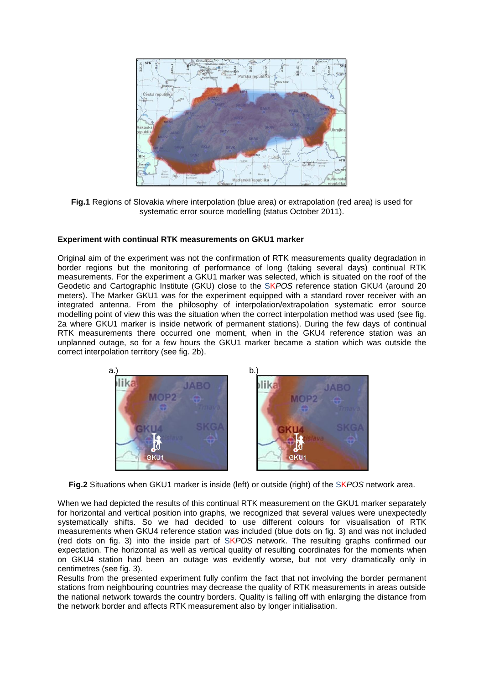

**Fig.1** Regions of Slovakia where interpolation (blue area) or extrapolation (red area) is used for systematic error source modelling (status October 2011).

## **Experiment with continual RTK measurements on GKU1 marker**

Original aim of the experiment was not the confirmation of RTK measurements quality degradation in border regions but the monitoring of performance of long (taking several days) continual RTK measurements. For the experiment a GKU1 marker was selected, which is situated on the roof of the Geodetic and Cartographic Institute (GKU) close to the SK*POS* reference station GKU4 (around 20 meters). The Marker GKU1 was for the experiment equipped with a standard rover receiver with an integrated antenna. From the philosophy of interpolation/extrapolation systematic error source modelling point of view this was the situation when the correct interpolation method was used (see fig. 2a where GKU1 marker is inside network of permanent stations). During the few days of continual RTK measurements there occurred one moment, when in the GKU4 reference station was an unplanned outage, so for a few hours the GKU1 marker became a station which was outside the correct interpolation territory (see fig. 2b).



**Fig.2** Situations when GKU1 marker is inside (left) or outside (right) of the SK*POS* network area.

When we had depicted the results of this continual RTK measurement on the GKU1 marker separately for horizontal and vertical position into graphs, we recognized that several values were unexpectedly systematically shifts. So we had decided to use different colours for visualisation of RTK measurements when GKU4 reference station was included (blue dots on fig. 3) and was not included (red dots on fig. 3) into the inside part of SK*POS* network. The resulting graphs confirmed our expectation. The horizontal as well as vertical quality of resulting coordinates for the moments when on GKU4 station had been an outage was evidently worse, but not very dramatically only in centimetres (see fig. 3).

Results from the presented experiment fully confirm the fact that not involving the border permanent stations from neighbouring countries may decrease the quality of RTK measurements in areas outside the national network towards the country borders. Quality is falling off with enlarging the distance from the network border and affects RTK measurement also by longer initialisation.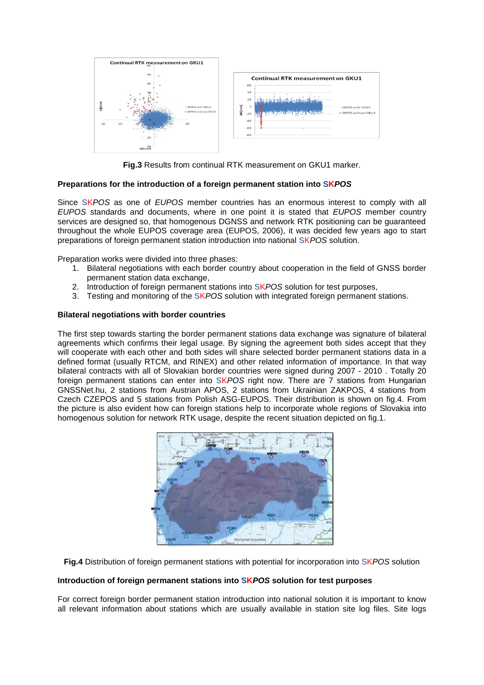

**Fig.3** Results from continual RTK measurement on GKU1 marker.

# **Preparations for the introduction of a foreign permanent station into SK***POS*

Since SK*POS* as one of *EUPOS* member countries has an enormous interest to comply with all *EUPOS* standards and documents, where in one point it is stated that *EUPOS* member country services are designed so, that homogenous DGNSS and network RTK positioning can be guaranteed throughout the whole EUPOS coverage area (EUPOS, 2006), it was decided few years ago to start preparations of foreign permanent station introduction into national SK*POS* solution.

Preparation works were divided into three phases:

- 1. Bilateral negotiations with each border country about cooperation in the field of GNSS border permanent station data exchange,
- 2. Introduction of foreign permanent stations into SK*POS* solution for test purposes,
- 3. Testing and monitoring of the SK*POS* solution with integrated foreign permanent stations.

#### **Bilateral negotiations with border countries**

The first step towards starting the border permanent stations data exchange was signature of bilateral agreements which confirms their legal usage. By signing the agreement both sides accept that they will cooperate with each other and both sides will share selected border permanent stations data in a defined format (usually RTCM, and RINEX) and other related information of importance. In that way bilateral contracts with all of Slovakian border countries were signed during 2007 - 2010 . Totally 20 foreign permanent stations can enter into SK*POS* right now. There are 7 stations from Hungarian GNSSNet.hu, 2 stations from Austrian APOS, 2 stations from Ukrainian ZAKPOS, 4 stations from Czech CZEPOS and 5 stations from Polish ASG-EUPOS. Their distribution is shown on fig.4. From the picture is also evident how can foreign stations help to incorporate whole regions of Slovakia into homogenous solution for network RTK usage, despite the recent situation depicted on fig.1.



**Fig.4** Distribution of foreign permanent stations with potential for incorporation into SK*POS* solution

#### **Introduction of foreign permanent stations into SK***POS* **solution for test purposes**

For correct foreign border permanent station introduction into national solution it is important to know all relevant information about stations which are usually available in station site log files. Site logs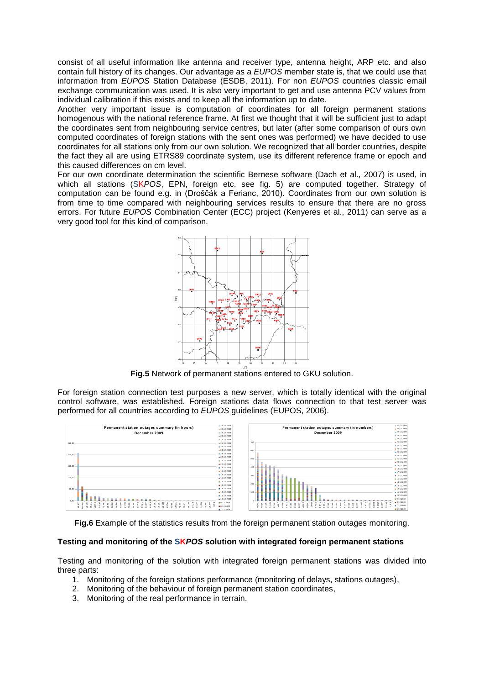consist of all useful information like antenna and receiver type, antenna height, ARP etc. and also contain full history of its changes. Our advantage as a *EUPOS* member state is, that we could use that information from *EUPOS* Station Database (ESDB, 2011). For non *EUPOS* countries classic email exchange communication was used. It is also very important to get and use antenna PCV values from individual calibration if this exists and to keep all the information up to date.

Another very important issue is computation of coordinates for all foreign permanent stations homogenous with the national reference frame. At first we thought that it will be sufficient just to adapt the coordinates sent from neighbouring service centres, but later (after some comparison of ours own computed coordinates of foreign stations with the sent ones was performed) we have decided to use coordinates for all stations only from our own solution. We recognized that all border countries, despite the fact they all are using ETRS89 coordinate system, use its different reference frame or epoch and this caused differences on cm level.

For our own coordinate determination the scientific Bernese software (Dach et al., 2007) is used, in which all stations (SK*POS*, EPN, foreign etc. see fig. 5) are computed together. Strategy of computation can be found e.g. in (Droščák a Ferianc, 2010). Coordinates from our own solution is from time to time compared with neighbouring services results to ensure that there are no gross errors. For future *EUPOS* Combination Center (ECC) project (Kenyeres et al., 2011) can serve as a very good tool for this kind of comparison.



**Fig.5** Network of permanent stations entered to GKU solution.

For foreign station connection test purposes a new server, which is totally identical with the original control software, was established. Foreign stations data flows connection to that test server was performed for all countries according to *EUPOS* guidelines (EUPOS, 2006).



**Fig.6** Example of the statistics results from the foreign permanent station outages monitoring.

#### **Testing and monitoring of the SK***POS* **solution with integrated foreign permanent stations**

Testing and monitoring of the solution with integrated foreign permanent stations was divided into three parts:

- 1. Monitoring of the foreign stations performance (monitoring of delays, stations outages),
- 2. Monitoring of the behaviour of foreign permanent station coordinates,
- 3. Monitoring of the real performance in terrain.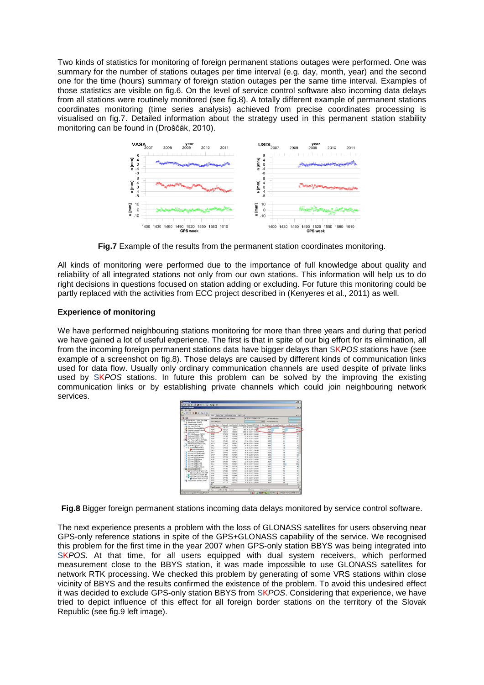Two kinds of statistics for monitoring of foreign permanent stations outages were performed. One was summary for the number of stations outages per time interval (e.g. day, month, year) and the second one for the time (hours) summary of foreign station outages per the same time interval. Examples of those statistics are visible on fig.6. On the level of service control software also incoming data delays from all stations were routinely monitored (see fig.8). A totally different example of permanent stations coordinates monitoring (time series analysis) achieved from precise coordinates processing is visualised on fig.7. Detailed information about the strategy used in this permanent station stability monitoring can be found in (Droščák, 2010).



**Fig.7** Example of the results from the permanent station coordinates monitoring.

All kinds of monitoring were performed due to the importance of full knowledge about quality and reliability of all integrated stations not only from our own stations. This information will help us to do right decisions in questions focused on station adding or excluding. For future this monitoring could be partly replaced with the activities from ECC project described in (Kenyeres et al., 2011) as well.

# **Experience of monitoring**

We have performed neighbouring stations monitoring for more than three years and during that period we have gained a lot of useful experience. The first is that in spite of our big effort for its elimination, all from the incoming foreign permanent stations data have bigger delays than SK*POS* stations have (see example of a screenshot on fig.8). Those delays are caused by different kinds of communication links used for data flow. Usually only ordinary communication channels are used despite of private links used by SK*POS* stations. In future this problem can be solved by the improving the existing communication links or by establishing private channels which could join neighbouring network services.

| <b>Artisticated D</b><br>20 3 3 4 9 3 3 4 3 4 5 6 7 8                          |                                                                  |                |                         |                                                           |                       |                          | 2101x                                        |
|--------------------------------------------------------------------------------|------------------------------------------------------------------|----------------|-------------------------|-----------------------------------------------------------|-----------------------|--------------------------|----------------------------------------------|
| <b>Bill Transfer Workman</b>                                                   |                                                                  |                |                         |                                                           |                       |                          | $-101x$                                      |
| the time Help                                                                  |                                                                  |                |                         |                                                           |                       |                          |                                              |
|                                                                                |                                                                  |                |                         |                                                           |                       |                          |                                              |
| <b>RHITEBOWN</b>                                                               |                                                                  |                |                         |                                                           |                       |                          |                                              |
| <b>Text</b><br>$\overline{B}$                                                  | Status   Status Debut   Sandhanien Debut   Status Count<br>2.4.1 |                |                         |                                                           |                       |                          |                                              |
| 7:31                                                                           | SateForecast outside SPS Time : Rodowell                         |                |                         | THE R DEM 17-47-60 - 30<br>Law has a debut beek           |                       |                          |                                              |
| 11-72 Toyota Victmes (Toyota, 2211214)                                         | Ericch delay that                                                |                | 1223<br>Average Adapted |                                                           |                       |                          |                                              |
| 2. Nam Hanson ISEPOST<br>IL @ Device Hanson (597052)                           |                                                                  |                |                         |                                                           |                       |                          |                                              |
| To this was papers                                                             | Stallon Code                                                     | 783.7          | Reported Used Conche    | Toolute Co. Floor-et 225 Text<br>6273 30 5, 2011 12:40:46 | Mar Dela Incl.        | Avenue Celecter          | LetharDdaring                                |
| <b>Echenwic Greykad BEFM</b>                                                   | 2008<br>PENC                                                     | 621921         | 791341<br>6933          |                                                           | -<br>3050             | <b>TABLE</b><br>zv.      |                                              |
| N Ephones Hangar Entral                                                        | 44.000                                                           | 1,306.64       | 134500                  | 6800 30 N 2011 12:40 44<br>304 36 5 2011 12 48 to         | 21571                 | $\overline{\mathbf{x}}$  | 434                                          |
| 45 ANGLONE SOPOST<br>TO spot a Deadcore Stewart                                | rate                                                             | <b>COURSE</b>  | <b>TINTIS</b>           | 420, 30-4, 2015 12:40:40                                  | 33903                 | e                        | w                                            |
| <b>B</b> AngCame (60701, 2102)                                                 | <b>SCTH</b>                                                      | <b>EXPIRED</b> | 1377340                 | 42 36 5 2011 12:40:40                                     | 1980 <sup></sup>      | ٠                        | w                                            |
| 45 AngCame (SKPOS DGPS)                                                        | 53,927                                                           | 1377TP         | <b>STORE</b>            | 36.30.8.2011 12:48.46                                     | 31134                 | ×                        | X.                                           |
| St. Post Pennessary From SICPOST                                               | <b>SOF</b>                                                       | 137840         | 137830                  | 24 30 % 2011 12 40 dil                                    | 656                   |                          | Ĥ                                            |
| 428 Integris Monke (SKPOS)                                                     | <b>WITH</b>                                                      | <b>COSAE</b>   | <b>TRACKS</b>           | 966 30 K 301112-6046                                      | <b>WW</b>             |                          | ń                                            |
| Th Reterence Data Shop (507050)<br>Hiller, Fraun Message (SAROS)               | 981                                                              | 12725          | <b>CETAD</b>            | 20 30 31 2011 12:40:46                                    | 920                   |                          | $\mathbf{x}$                                 |
| P. Bone (SPOS NHEA)                                                            | 30%                                                              | 139340         | <b>LYSES</b>            | 立美工201124040                                              | <b>Siders</b>         | 'n                       | ×                                            |
| <b>B</b> Fau Stream 20163.                                                     | ta yrs                                                           | 137236         | 1377309                 | 14 30 5 2011 12:00:00                                     | <b>KW</b>             | 'n                       | H                                            |
| (1 810 No DOM DOPS and                                                         | <b>GLV1</b>                                                      | 137943         | <b>SIPOET</b>           | 36 36 K 2011 12 At at                                     | <b>LOCIS</b>          |                          | w                                            |
| 810 NelDOPS ENFERAGE                                                           | <b>Gall</b>                                                      | 1327261        | 137266                  | 14.30.9.2011 12.40.00                                     | 9999                  | 'n                       | w                                            |
| A ATO Ne DOPS DOPS will<br>And the DOPS IDDPS and                              | 83,056                                                           | 1272%          | 137240                  | 26 30 5 2011 12 45 46                                     | 14622                 | 73                       | w                                            |
| <b>RTD NerVRS (CMRANE</b>                                                      | XLIKE                                                            | <b>COTTON</b>  | <b>TITTED</b>           | 48 36 5 2011 12:40:40                                     | 7490                  | o                        | w                                            |
| <b>ATO NerVRS KMRd</b>                                                         | 920                                                              | 137734         | 1377271                 | 12.30.5.2011 12:40:46                                     | 522                   | ü                        | 'n                                           |
| Ato NevR6 (RTOKER)                                                             | <b>SOLV</b>                                                      | <b>YO'REA</b>  | <b>STREET</b>           | 190 St 4 2011 12:00:00                                    | 4027                  | ×                        | эR                                           |
| <b>ADD NH VES ELTOKEE</b>                                                      | <b>LKY</b>                                                       | 1377364        | 13726                   | 15.30 K.2015 12-Miles                                     | 469                   | $\overline{\phantom{a}}$ | w                                            |
| <b><i>ROD NAVRO PITCHTS RDL</i></b><br><b>SO Supplement (SCFOS)</b>            | 000                                                              | 1327067        | 1377182                 | 26.36 K 2011 12:48:46                                     | 601                   |                          | ×                                            |
| <sup>6</sup> Network Motion Engine EXPO                                        | PACS                                                             | 12734          | 12729                   | 24 36 3 2011 12 46 46                                     | CD4                   | ä                        |                                              |
| <b>CR Image Mades BOS' SEP</b>                                                 | WW                                                               | 137973         | 12530                   | of the Contribution                                       | <b>TEES</b>           | 'n                       | ö                                            |
| C Newak Processe DGPS (DC)                                                     | 932                                                              | 1377064        | <b>13YONG</b>           | 07.30.5.2011 12:40:40                                     | 3007                  | $\mathbf{z}$             | ×                                            |
| <sup>2</sup> Network Processor VRS (VRS)<br><b>C Simonic Processor Storage</b> | <b>SU4</b>                                                       | <b>LSTYING</b> | tathes                  | 24 30 5 2011 1240 46                                      | 13648                 | $\sim$                   | ×                                            |
| C Transformation Generator (SKPOS)                                             | 9.50                                                             | 137268         | 19720                   | 11 30 4 2011 12 60 dil                                    | <b>KING</b>           | ×                        | ×                                            |
|                                                                                | 1934<br>w                                                        | 13/7223        | <b>KIZTOKY</b>          | 15 36 5 2011 12 60 ml                                     | 1034                  |                          | W)<br>Y                                      |
|                                                                                | Status Messager: Last 20 North                                   |                |                         |                                                           |                       |                          |                                              |
|                                                                                | all fuse   Event Tree \$701.                                     |                | Some                    | T. fang.                                                  | <b>V</b> Massage Tast |                          |                                              |
| Sound autore confinanties "Tandie, 20112014"                                   |                                                                  |                |                         | 35 <sup>2</sup><br>ъ                                      |                       |                          | <b>AGE: C CAND &amp; ASSOCIATED PRESERVE</b> |

**Fig.8** Bigger foreign permanent stations incoming data delays monitored by service control software.

The next experience presents a problem with the loss of GLONASS satellites for users observing near GPS-only reference stations in spite of the GPS+GLONASS capability of the service. We recognised this problem for the first time in the year 2007 when GPS-only station BBYS was being integrated into SK*POS*. At that time, for all users equipped with dual system receivers, which performed measurement close to the BBYS station, it was made impossible to use GLONASS satellites for network RTK processing. We checked this problem by generating of some VRS stations within close vicinity of BBYS and the results confirmed the existence of the problem. To avoid this undesired effect it was decided to exclude GPS-only station BBYS from SK*POS*. Considering that experience, we have tried to depict influence of this effect for all foreign border stations on the territory of the Slovak Republic (see fig.9 left image).